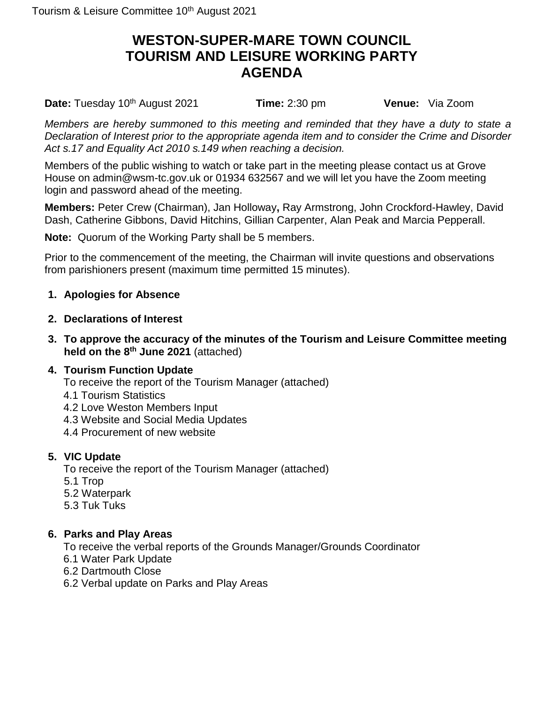# **WESTON-SUPER-MARE TOWN COUNCIL TOURISM AND LEISURE WORKING PARTY AGENDA**

**Date:** Tuesday 10<sup>th</sup> August 2021 **Time:** 2:30 pm **Venue:** Via Zoom

*Members are hereby summoned to this meeting and reminded that they have a duty to state a Declaration of Interest prior to the appropriate agenda item and to consider the Crime and Disorder Act s.17 and Equality Act 2010 s.149 when reaching a decision.*

Members of the public wishing to watch or take part in the meeting please contact us at Grove House on admin@wsm-tc.gov.uk or 01934 632567 and we will let you have the Zoom meeting login and password ahead of the meeting.

**Members:** Peter Crew (Chairman), Jan Holloway**,** Ray Armstrong, John Crockford-Hawley, David Dash, Catherine Gibbons, David Hitchins, Gillian Carpenter, Alan Peak and Marcia Pepperall.

**Note:** Quorum of the Working Party shall be 5 members.

Prior to the commencement of the meeting, the Chairman will invite questions and observations from parishioners present (maximum time permitted 15 minutes).

## **1. Apologies for Absence**

- **2. Declarations of Interest**
- **3. To approve the accuracy of the minutes of the Tourism and Leisure Committee meeting held on the 8 th June 2021** (attached)

## **4. Tourism Function Update**

- To receive the report of the Tourism Manager (attached)
- 4.1 Tourism Statistics
- 4.2 Love Weston Members Input
- 4.3 Website and Social Media Updates
- 4.4 Procurement of new website

## **5. VIC Update**

To receive the report of the Tourism Manager (attached)

- 5.1 Trop
- 5.2 Waterpark
- 5.3 Tuk Tuks

## **6. Parks and Play Areas**

To receive the verbal reports of the Grounds Manager/Grounds Coordinator

- 6.1 Water Park Update
- 6.2 Dartmouth Close
- 6.2 Verbal update on Parks and Play Areas